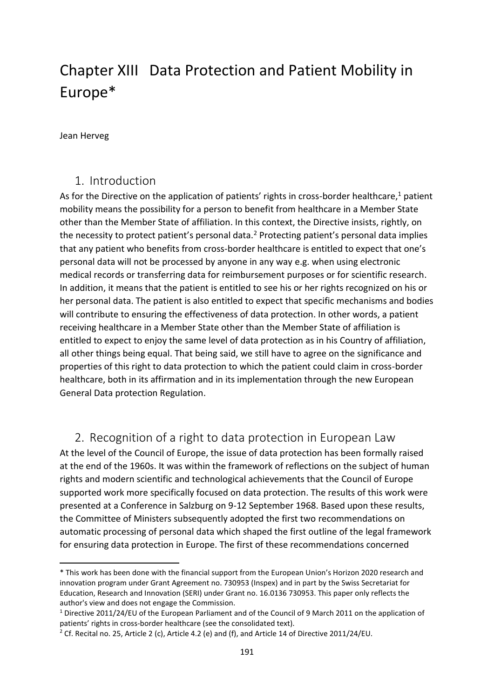# Chapter XIII Data Protection and Patient Mobility in Europe\*

Jean Herveg

 $\overline{a}$ 

## 1. Introduction

As for the Directive on the application of patients' rights in cross-border healthcare,<sup>1</sup> patient mobility means the possibility for a person to benefit from healthcare in a Member State other than the Member State of affiliation. In this context, the Directive insists, rightly, on the necessity to protect patient's personal data.<sup>2</sup> Protecting patient's personal data implies that any patient who benefits from cross-border healthcare is entitled to expect that one's personal data will not be processed by anyone in any way e.g. when using electronic medical records or transferring data for reimbursement purposes or for scientific research. In addition, it means that the patient is entitled to see his or her rights recognized on his or her personal data. The patient is also entitled to expect that specific mechanisms and bodies will contribute to ensuring the effectiveness of data protection. In other words, a patient receiving healthcare in a Member State other than the Member State of affiliation is entitled to expect to enjoy the same level of data protection as in his Country of affiliation, all other things being equal. That being said, we still have to agree on the significance and properties of this right to data protection to which the patient could claim in cross-border healthcare, both in its affirmation and in its implementation through the new European General Data protection Regulation.

### 2. Recognition of a right to data protection in European Law

At the level of the Council of Europe, the issue of data protection has been formally raised at the end of the 1960s. It was within the framework of reflections on the subject of human rights and modern scientific and technological achievements that the Council of Europe supported work more specifically focused on data protection. The results of this work were presented at a Conference in Salzburg on 9-12 September 1968. Based upon these results, the Committee of Ministers subsequently adopted the first two recommendations on automatic processing of personal data which shaped the first outline of the legal framework for ensuring data protection in Europe. The first of these recommendations concerned

<sup>\*</sup> This work has been done with the financial support from the European Union's Horizon 2020 research and innovation program under Grant Agreement no. 730953 (Inspex) and in part by the Swiss Secretariat for Education, Research and Innovation (SERI) under Grant no. 16.0136 730953. This paper only reflects the author's view and does not engage the Commission.

<sup>1</sup> Directive 2011/24/EU of the European Parliament and of the Council of 9 March 2011 on the application of patients' rights in cross-border healthcare (see the consolidated text).

<sup>&</sup>lt;sup>2</sup> Cf. Recital no. 25, Article 2 (c), Article 4.2 (e) and (f), and Article 14 of Directive 2011/24/EU.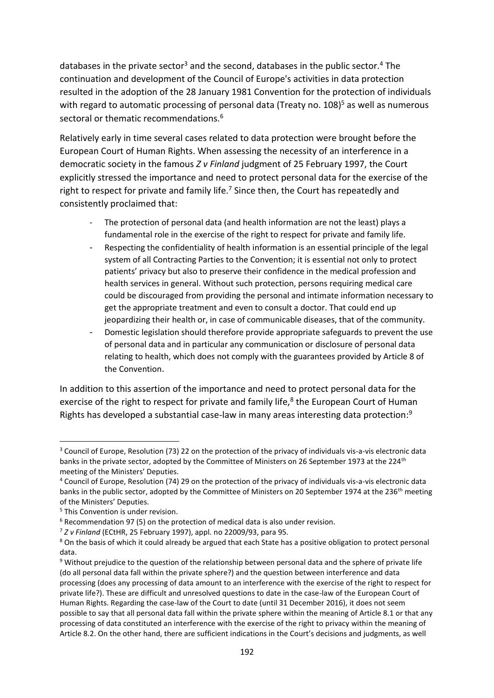databases in the private sector<sup>3</sup> and the second, databases in the public sector.<sup>4</sup> The continuation and development of the Council of Europe's activities in data protection resulted in the adoption of the 28 January 1981 Convention for the protection of individuals with regard to automatic processing of personal data (Treaty no.  $108$ <sup>5</sup> as well as numerous sectoral or thematic recommendations.<sup>6</sup>

Relatively early in time several cases related to data protection were brought before the European Court of Human Rights. When assessing the necessity of an interference in a democratic society in the famous *Z v Finland* judgment of 25 February 1997, the Court explicitly stressed the importance and need to protect personal data for the exercise of the right to respect for private and family life.<sup>7</sup> Since then, the Court has repeatedly and consistently proclaimed that:

- The protection of personal data (and health information are not the least) plays a fundamental role in the exercise of the right to respect for private and family life.
- Respecting the confidentiality of health information is an essential principle of the legal system of all Contracting Parties to the Convention; it is essential not only to protect patients' privacy but also to preserve their confidence in the medical profession and health services in general. Without such protection, persons requiring medical care could be discouraged from providing the personal and intimate information necessary to get the appropriate treatment and even to consult a doctor. That could end up jeopardizing their health or, in case of communicable diseases, that of the community.
- Domestic legislation should therefore provide appropriate safeguards to prevent the use of personal data and in particular any communication or disclosure of personal data relating to health, which does not comply with the guarantees provided by Article 8 of the Convention.

In addition to this assertion of the importance and need to protect personal data for the exercise of the right to respect for private and family life,<sup>8</sup> the European Court of Human Rights has developed a substantial case-law in many areas interesting data protection:<sup>9</sup>

**<sup>.</sup>** <sup>3</sup> Council of Europe, Resolution (73) 22 on the protection of the privacy of individuals vis-a-vis electronic data banks in the private sector, adopted by the Committee of Ministers on 26 September 1973 at the 224<sup>th</sup> meeting of the Ministers' Deputies.

<sup>4</sup> Council of Europe, Resolution (74) 29 on the protection of the privacy of individuals vis-a-vis electronic data banks in the public sector, adopted by the Committee of Ministers on 20 September 1974 at the 236<sup>th</sup> meeting of the Ministers' Deputies.

<sup>5</sup> This Convention is under revision.

 $6$  Recommendation 97 (5) on the protection of medical data is also under revision.

<sup>7</sup> *Z v Finland* (ECtHR, 25 February 1997), appl. no 22009/93, para 95.

<sup>&</sup>lt;sup>8</sup> On the basis of which it could already be argued that each State has a positive obligation to protect personal data.

<sup>9</sup> Without prejudice to the question of the relationship between personal data and the sphere of private life (do all personal data fall within the private sphere?) and the question between interference and data processing (does any processing of data amount to an interference with the exercise of the right to respect for private life?). These are difficult and unresolved questions to date in the case-law of the European Court of Human Rights. Regarding the case-law of the Court to date (until 31 December 2016), it does not seem possible to say that all personal data fall within the private sphere within the meaning of Article 8.1 or that any processing of data constituted an interference with the exercise of the right to privacy within the meaning of Article 8.2. On the other hand, there are sufficient indications in the Court's decisions and judgments, as well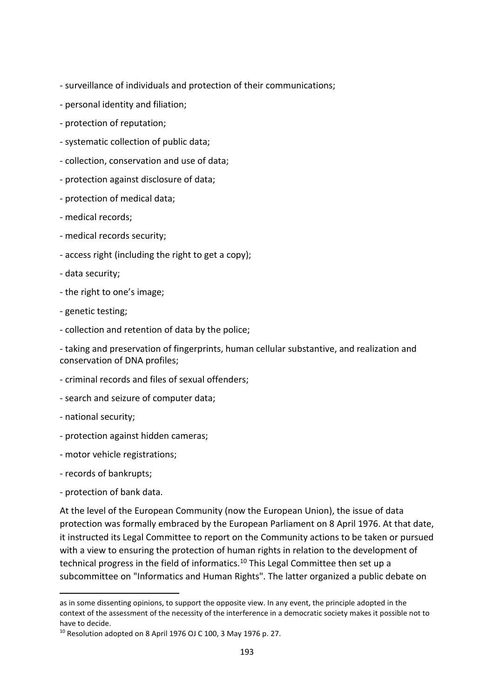- surveillance of individuals and protection of their communications;
- personal identity and filiation;
- protection of reputation;
- systematic collection of public data;
- collection, conservation and use of data;
- protection against disclosure of data;
- protection of medical data;
- medical records;
- medical records security;
- access right (including the right to get a copy);
- data security;
- the right to one's image;
- genetic testing;
- collection and retention of data by the police;

- taking and preservation of fingerprints, human cellular substantive, and realization and conservation of DNA profiles;

- criminal records and files of sexual offenders;
- search and seizure of computer data;
- national security;
- protection against hidden cameras;
- motor vehicle registrations;
- records of bankrupts;

1

- protection of bank data.

At the level of the European Community (now the European Union), the issue of data protection was formally embraced by the European Parliament on 8 April 1976. At that date, it instructed its Legal Committee to report on the Community actions to be taken or pursued with a view to ensuring the protection of human rights in relation to the development of technical progress in the field of informatics.<sup>10</sup> This Legal Committee then set up a subcommittee on "Informatics and Human Rights". The latter organized a public debate on

as in some dissenting opinions, to support the opposite view. In any event, the principle adopted in the context of the assessment of the necessity of the interference in a democratic society makes it possible not to have to decide.

 $10$  Resolution adopted on 8 April 1976 OJ C 100, 3 May 1976 p. 27.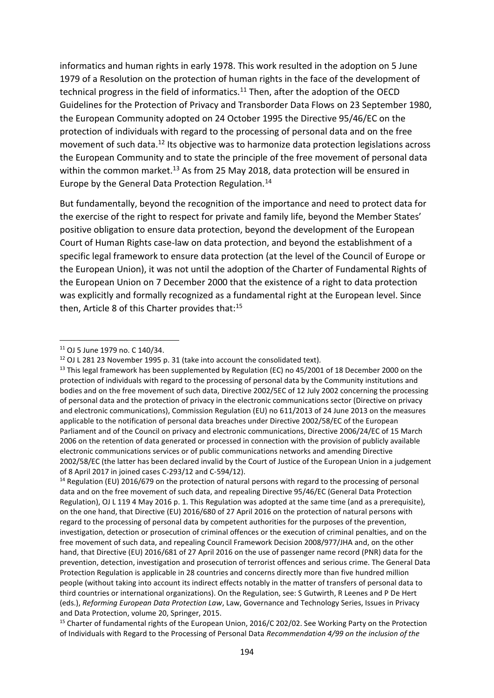informatics and human rights in early 1978. This work resulted in the adoption on 5 June 1979 of a Resolution on the protection of human rights in the face of the development of technical progress in the field of informatics. $11$  Then, after the adoption of the OECD Guidelines for the Protection of Privacy and Transborder Data Flows on 23 September 1980, the European Community adopted on 24 October 1995 the Directive 95/46/EC on the protection of individuals with regard to the processing of personal data and on the free movement of such data.<sup>12</sup> Its objective was to harmonize data protection legislations across the European Community and to state the principle of the free movement of personal data within the common market.<sup>13</sup> As from 25 May 2018, data protection will be ensured in Europe by the General Data Protection Regulation.<sup>14</sup>

But fundamentally, beyond the recognition of the importance and need to protect data for the exercise of the right to respect for private and family life, beyond the Member States' positive obligation to ensure data protection, beyond the development of the European Court of Human Rights case-law on data protection, and beyond the establishment of a specific legal framework to ensure data protection (at the level of the Council of Europe or the European Union), it was not until the adoption of the Charter of Fundamental Rights of the European Union on 7 December 2000 that the existence of a right to data protection was explicitly and formally recognized as a fundamental right at the European level. Since then, Article 8 of this Charter provides that: $15$ 

<sup>11</sup> OJ 5 June 1979 no. C 140/34.

<sup>&</sup>lt;sup>12</sup> OJ L 281 23 November 1995 p. 31 (take into account the consolidated text).

<sup>&</sup>lt;sup>13</sup> This legal framework has been supplemented by Regulation (EC) no 45/2001 of 18 December 2000 on the protection of individuals with regard to the processing of personal data by the Community institutions and bodies and on the free movement of such data, Directive 2002/5EC of 12 July 2002 concerning the processing of personal data and the protection of privacy in the electronic communications sector (Directive on privacy and electronic communications), Commission Regulation (EU) no 611/2013 of 24 June 2013 on the measures applicable to the notification of personal data breaches under Directive 2002/58/EC of the European Parliament and of the Council on privacy and electronic communications, Directive 2006/24/EC of 15 March 2006 on the retention of data generated or processed in connection with the provision of publicly available electronic communications services or of public communications networks and amending Directive 2002/58/EC (the latter has been declared invalid by the Court of Justice of the European Union in a judgement of 8 April 2017 in joined cases C-293/12 and C-594/12).

<sup>&</sup>lt;sup>14</sup> Regulation (EU) 2016/679 on the protection of natural persons with regard to the processing of personal data and on the free movement of such data, and repealing Directive 95/46/EC (General Data Protection Regulation), OJ L 119 4 May 2016 p. 1. This Regulation was adopted at the same time (and as a prerequisite), on the one hand, that Directive (EU) 2016/680 of 27 April 2016 on the protection of natural persons with regard to the processing of personal data by competent authorities for the purposes of the prevention, investigation, detection or prosecution of criminal offences or the execution of criminal penalties, and on the free movement of such data, and repealing Council Framework Decision 2008/977/JHA and, on the other hand, that Directive (EU) 2016/681 of 27 April 2016 on the use of passenger name record (PNR) data for the prevention, detection, investigation and prosecution of terrorist offences and serious crime. The General Data Protection Regulation is applicable in 28 countries and concerns directly more than five hundred million people (without taking into account its indirect effects notably in the matter of transfers of personal data to third countries or international organizations). On the Regulation, see: S Gutwirth, R Leenes and P De Hert (eds.), *Reforming European Data Protection Law*, Law, Governance and Technology Series, Issues in Privacy and Data Protection, volume 20, Springer, 2015.

<sup>&</sup>lt;sup>15</sup> Charter of fundamental rights of the European Union, 2016/C 202/02. See Working Party on the Protection of Individuals with Regard to the Processing of Personal Data *Recommendation 4/99 on the inclusion of the*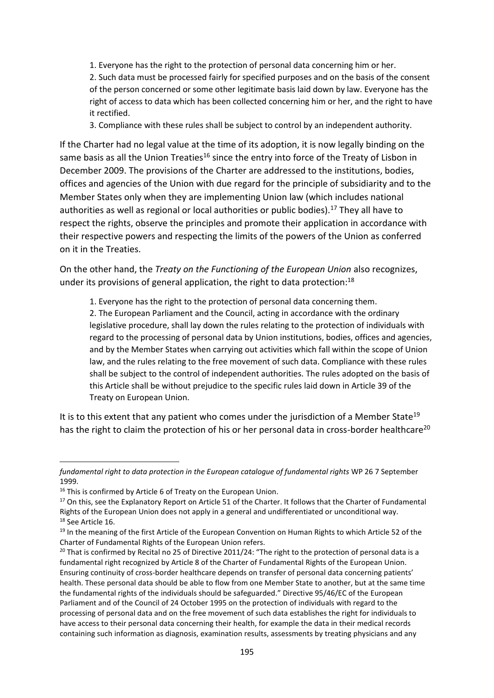1. Everyone has the right to the protection of personal data concerning him or her. 2. Such data must be processed fairly for specified purposes and on the basis of the consent of the person concerned or some other legitimate basis laid down by law. Everyone has the right of access to data which has been collected concerning him or her, and the right to have it rectified.

3. Compliance with these rules shall be subject to control by an independent authority.

If the Charter had no legal value at the time of its adoption, it is now legally binding on the same basis as all the Union Treaties<sup>16</sup> since the entry into force of the Treaty of Lisbon in December 2009. The provisions of the Charter are addressed to the institutions, bodies, offices and agencies of the Union with due regard for the principle of subsidiarity and to the Member States only when they are implementing Union law (which includes national authorities as well as regional or local authorities or public bodies).<sup>17</sup> They all have to respect the rights, observe the principles and promote their application in accordance with their respective powers and respecting the limits of the powers of the Union as conferred on it in the Treaties.

On the other hand, the *Treaty on the Functioning of the European Union* also recognizes, under its provisions of general application, the right to data protection:<sup>18</sup>

1. Everyone has the right to the protection of personal data concerning them. 2. The European Parliament and the Council, acting in accordance with the ordinary legislative procedure, shall lay down the rules relating to the protection of individuals with regard to the processing of personal data by Union institutions, bodies, offices and agencies, and by the Member States when carrying out activities which fall within the scope of Union law, and the rules relating to the free movement of such data. Compliance with these rules shall be subject to the control of independent authorities. The rules adopted on the basis of this Article shall be without prejudice to the specific rules laid down in Article 39 of the Treaty on European Union.

It is to this extent that any patient who comes under the jurisdiction of a Member State<sup>19</sup> has the right to claim the protection of his or her personal data in cross-border healthcare<sup>20</sup>

*fundamental right to data protection in the European catalogue of fundamental rights* WP 26 7 September 1999.

<sup>&</sup>lt;sup>16</sup> This is confirmed by Article 6 of Treaty on the European Union.

<sup>&</sup>lt;sup>17</sup> On this, see the Explanatory Report on Article 51 of the Charter. It follows that the Charter of Fundamental Rights of the European Union does not apply in a general and undifferentiated or unconditional way. <sup>18</sup> See Article 16.

<sup>&</sup>lt;sup>19</sup> In the meaning of the first Article of the European Convention on Human Rights to which Article 52 of the Charter of Fundamental Rights of the European Union refers.

<sup>&</sup>lt;sup>20</sup> That is confirmed by Recital no 25 of Directive 2011/24: "The right to the protection of personal data is a fundamental right recognized by Article 8 of the Charter of Fundamental Rights of the European Union. Ensuring continuity of cross-border healthcare depends on transfer of personal data concerning patients' health. These personal data should be able to flow from one Member State to another, but at the same time the fundamental rights of the individuals should be safeguarded." Directive 95/46/EC of the European Parliament and of the Council of 24 October 1995 on the protection of individuals with regard to the processing of personal data and on the free movement of such data establishes the right for individuals to have access to their personal data concerning their health, for example the data in their medical records containing such information as diagnosis, examination results, assessments by treating physicians and any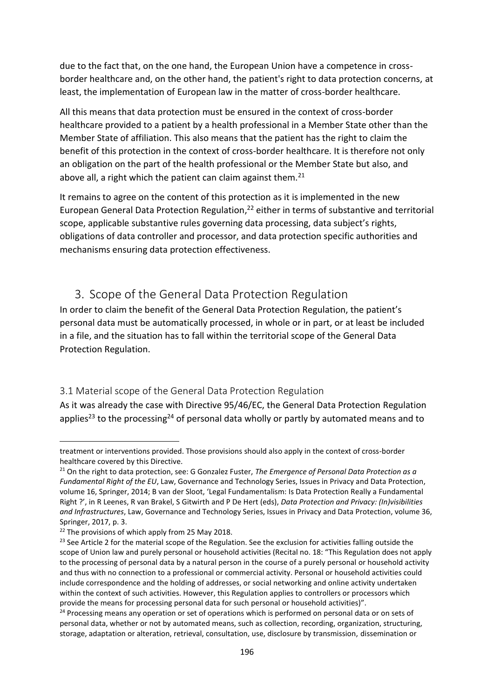due to the fact that, on the one hand, the European Union have a competence in crossborder healthcare and, on the other hand, the patient's right to data protection concerns, at least, the implementation of European law in the matter of cross-border healthcare.

All this means that data protection must be ensured in the context of cross-border healthcare provided to a patient by a health professional in a Member State other than the Member State of affiliation. This also means that the patient has the right to claim the benefit of this protection in the context of cross-border healthcare. It is therefore not only an obligation on the part of the health professional or the Member State but also, and above all, a right which the patient can claim against them. $21$ 

It remains to agree on the content of this protection as it is implemented in the new European General Data Protection Regulation,<sup>22</sup> either in terms of substantive and territorial scope, applicable substantive rules governing data processing, data subject's rights, obligations of data controller and processor, and data protection specific authorities and mechanisms ensuring data protection effectiveness.

# 3. Scope of the General Data Protection Regulation

In order to claim the benefit of the General Data Protection Regulation, the patient's personal data must be automatically processed, in whole or in part, or at least be included in a file, and the situation has to fall within the territorial scope of the General Data Protection Regulation.

### 3.1 Material scope of the General Data Protection Regulation

As it was already the case with Directive 95/46/EC, the General Data Protection Regulation applies<sup>23</sup> to the processing<sup>24</sup> of personal data wholly or partly by automated means and to

**<sup>.</sup>** treatment or interventions provided. Those provisions should also apply in the context of cross-border healthcare covered by this Directive.

<sup>21</sup> On the right to data protection, see: G Gonzalez Fuster, *The Emergence of Personal Data Protection as a Fundamental Right of the EU*, Law, Governance and Technology Series, Issues in Privacy and Data Protection, volume 16, Springer, 2014; B van der Sloot, 'Legal Fundamentalism: Is Data Protection Really a Fundamental Right ?', in R Leenes, R van Brakel, S Gitwirth and P De Hert (eds), *Data Protection and Privacy: (In)visibilities and Infrastructures*, Law, Governance and Technology Series, Issues in Privacy and Data Protection, volume 36, Springer, 2017, p. 3.

<sup>&</sup>lt;sup>22</sup> The provisions of which apply from 25 May 2018.

 $23$  See Article 2 for the material scope of the Regulation. See the exclusion for activities falling outside the scope of Union law and purely personal or household activities (Recital no. 18: "This Regulation does not apply to the processing of personal data by a natural person in the course of a purely personal or household activity and thus with no connection to a professional or commercial activity. Personal or household activities could include correspondence and the holding of addresses, or social networking and online activity undertaken within the context of such activities. However, this Regulation applies to controllers or processors which provide the means for processing personal data for such personal or household activities)".

<sup>&</sup>lt;sup>24</sup> Processing means any operation or set of operations which is performed on personal data or on sets of personal data, whether or not by automated means, such as collection, recording, organization, structuring, storage, adaptation or alteration, retrieval, consultation, use, disclosure by transmission, dissemination or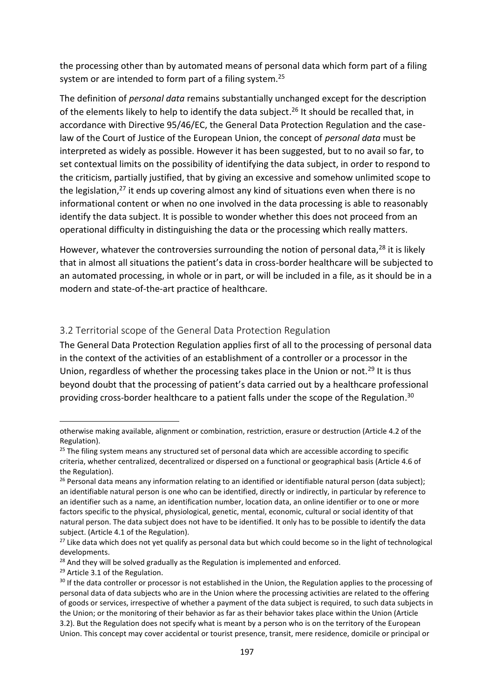the processing other than by automated means of personal data which form part of a filing system or are intended to form part of a filing system.<sup>25</sup>

The definition of *personal data* remains substantially unchanged except for the description of the elements likely to help to identify the data subject.<sup>26</sup> It should be recalled that, in accordance with Directive 95/46/EC, the General Data Protection Regulation and the caselaw of the Court of Justice of the European Union, the concept of *personal data* must be interpreted as widely as possible. However it has been suggested, but to no avail so far, to set contextual limits on the possibility of identifying the data subject, in order to respond to the criticism, partially justified, that by giving an excessive and somehow unlimited scope to the legislation, $27$  it ends up covering almost any kind of situations even when there is no informational content or when no one involved in the data processing is able to reasonably identify the data subject. It is possible to wonder whether this does not proceed from an operational difficulty in distinguishing the data or the processing which really matters.

However, whatever the controversies surrounding the notion of personal data, $^{28}$  it is likely that in almost all situations the patient's data in cross-border healthcare will be subjected to an automated processing, in whole or in part, or will be included in a file, as it should be in a modern and state-of-the-art practice of healthcare.

#### 3.2 Territorial scope of the General Data Protection Regulation

The General Data Protection Regulation applies first of all to the processing of personal data in the context of the activities of an establishment of a controller or a processor in the Union, regardless of whether the processing takes place in the Union or not.<sup>29</sup> It is thus beyond doubt that the processing of patient's data carried out by a healthcare professional providing cross-border healthcare to a patient falls under the scope of the Regulation.<sup>30</sup>

 $\overline{a}$ 

otherwise making available, alignment or combination, restriction, erasure or destruction (Article 4.2 of the Regulation).

<sup>&</sup>lt;sup>25</sup> The filing system means any structured set of personal data which are accessible according to specific criteria, whether centralized, decentralized or dispersed on a functional or geographical basis (Article 4.6 of the Regulation).

 $26$  Personal data means any information relating to an identified or identifiable natural person (data subject); an identifiable natural person is one who can be identified, directly or indirectly, in particular by reference to an identifier such as a name, an identification number, location data, an online identifier or to one or more factors specific to the physical, physiological, genetic, mental, economic, cultural or social identity of that natural person. The data subject does not have to be identified. It only has to be possible to identify the data subject. (Article 4.1 of the Regulation).

 $27$  Like data which does not yet qualify as personal data but which could become so in the light of technological developments.

 $28$  And they will be solved gradually as the Regulation is implemented and enforced.

<sup>&</sup>lt;sup>29</sup> Article 3.1 of the Regulation.

<sup>&</sup>lt;sup>30</sup> If the data controller or processor is not established in the Union, the Regulation applies to the processing of personal data of data subjects who are in the Union where the processing activities are related to the offering of goods or services, irrespective of whether a payment of the data subject is required, to such data subjects in the Union; or the monitoring of their behavior as far as their behavior takes place within the Union (Article 3.2). But the Regulation does not specify what is meant by a person who is on the territory of the European Union. This concept may cover accidental or tourist presence, transit, mere residence, domicile or principal or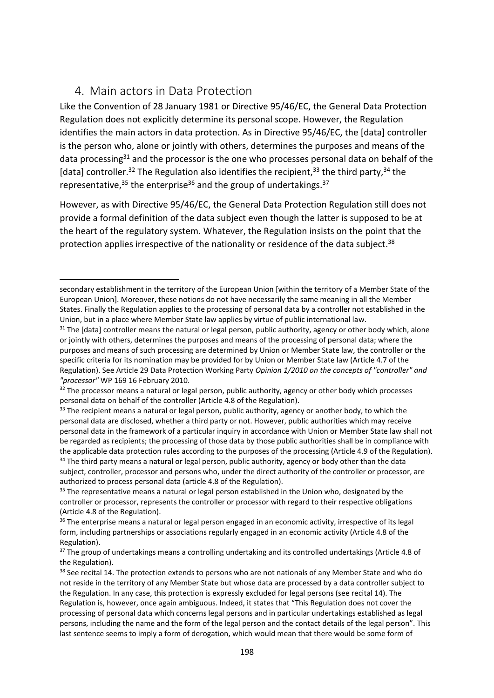# 4. Main actors in Data Protection

**.** 

Like the Convention of 28 January 1981 or Directive 95/46/EC, the General Data Protection Regulation does not explicitly determine its personal scope. However, the Regulation identifies the main actors in data protection. As in Directive 95/46/EC, the [data] controller is the person who, alone or jointly with others, determines the purposes and means of the data processing<sup>31</sup> and the processor is the one who processes personal data on behalf of the [data] controller.<sup>32</sup> The Regulation also identifies the recipient,<sup>33</sup> the third party,<sup>34</sup> the representative, $35$  the enterprise<sup>36</sup> and the group of undertakings.<sup>37</sup>

However, as with Directive 95/46/EC, the General Data Protection Regulation still does not provide a formal definition of the data subject even though the latter is supposed to be at the heart of the regulatory system. Whatever, the Regulation insists on the point that the protection applies irrespective of the nationality or residence of the data subject.<sup>38</sup>

secondary establishment in the territory of the European Union [within the territory of a Member State of the European Union]. Moreover, these notions do not have necessarily the same meaning in all the Member States. Finally the Regulation applies to the processing of personal data by a controller not established in the Union, but in a place where Member State law applies by virtue of public international law.

<sup>&</sup>lt;sup>31</sup> The [data] controller means the natural or legal person, public authority, agency or other body which, alone or jointly with others, determines the purposes and means of the processing of personal data; where the purposes and means of such processing are determined by Union or Member State law, the controller or the specific criteria for its nomination may be provided for by Union or Member State law (Article 4.7 of the Regulation). See Article 29 Data Protection Working Party *Opinion 1/2010 on the concepts of "controller" and "processor"* WP 169 16 February 2010.

<sup>&</sup>lt;sup>32</sup> The processor means a natural or legal person, public authority, agency or other body which processes personal data on behalf of the controller (Article 4.8 of the Regulation).

 $33$  The recipient means a natural or legal person, public authority, agency or another body, to which the personal data are disclosed, whether a third party or not. However, public authorities which may receive personal data in the framework of a particular inquiry in accordance with Union or Member State law shall not be regarded as recipients; the processing of those data by those public authorities shall be in compliance with the applicable data protection rules according to the purposes of the processing (Article 4.9 of the Regulation). <sup>34</sup> The third party means a natural or legal person, public authority, agency or body other than the data

subject, controller, processor and persons who, under the direct authority of the controller or processor, are authorized to process personal data (article 4.8 of the Regulation).

<sup>&</sup>lt;sup>35</sup> The representative means a natural or legal person established in the Union who, designated by the controller or processor, represents the controller or processor with regard to their respective obligations (Article 4.8 of the Regulation).

<sup>&</sup>lt;sup>36</sup> The enterprise means a natural or legal person engaged in an economic activity, irrespective of its legal form, including partnerships or associations regularly engaged in an economic activity (Article 4.8 of the Regulation).

<sup>&</sup>lt;sup>37</sup> The group of undertakings means a controlling undertaking and its controlled undertakings (Article 4.8 of the Regulation).

<sup>&</sup>lt;sup>38</sup> See recital 14. The protection extends to persons who are not nationals of any Member State and who do not reside in the territory of any Member State but whose data are processed by a data controller subject to the Regulation. In any case, this protection is expressly excluded for legal persons (see recital 14). The Regulation is, however, once again ambiguous. Indeed, it states that "This Regulation does not cover the processing of personal data which concerns legal persons and in particular undertakings established as legal persons, including the name and the form of the legal person and the contact details of the legal person". This last sentence seems to imply a form of derogation, which would mean that there would be some form of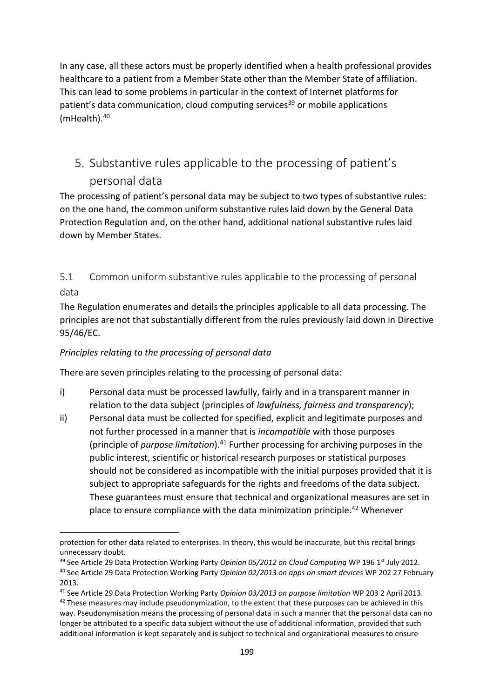In any case, all these actors must be properly identified when a health professional provides healthcare to a patient from a Member State other than the Member State of affiliation. This can lead to some problems in particular in the context of Internet platforms for patient's data communication, cloud computing services<sup>39</sup> or mobile applications (mHealth). 40

# 5. Substantive rules applicable to the processing of patient's personal data

The processing of patient's personal data may be subject to two types of substantive rules: on the one hand, the common uniform substantive rules laid down by the General Data Protection Regulation and, on the other hand, additional national substantive rules laid down by Member States.

### 5.1 Common uniform substantive rules applicable to the processing of personal data

The Regulation enumerates and details the principles applicable to all data processing. The principles are not that substantially different from the rules previously laid down in Directive 95/46/EC.

### *Principles relating to the processing of personal data*

**.** 

There are seven principles relating to the processing of personal data:

- i) Personal data must be processed lawfully, fairly and in a transparent manner in relation to the data subject (principles of *lawfulness, fairness and transparency*);
- ii) Personal data must be collected for specified, explicit and legitimate purposes and not further processed in a manner that is *incompatible* with those purposes (principle of *purpose limitation*).<sup>41</sup> Further processing for archiving purposes in the public interest, scientific or historical research purposes or statistical purposes should not be considered as incompatible with the initial purposes provided that it is subject to appropriate safeguards for the rights and freedoms of the data subject. These guarantees must ensure that technical and organizational measures are set in place to ensure compliance with the data minimization principle. <sup>42</sup> Whenever

protection for other data related to enterprises. In theory, this would be inaccurate, but this recital brings unnecessary doubt.

<sup>&</sup>lt;sup>39</sup> See Article 29 Data Protection Working Party *Opinion 05/2012 on Cloud Computing* WP 196 1<sup>st</sup> July 2012. <sup>40</sup> See Article 29 Data Protection Working Party *Opinion 02/2013 on apps on smart devices* WP 202 27 February 2013.

<sup>41</sup> See Article 29 Data Protection Working Party *Opinion 03/2013 on purpose limitation* WP 203 2 April 2013.

 $42$  These measures may include pseudonymization, to the extent that these purposes can be achieved in this way. Pseudonymisation means the processing of personal data in such a manner that the personal data can no longer be attributed to a specific data subject without the use of additional information, provided that such additional information is kept separately and is subject to technical and organizational measures to ensure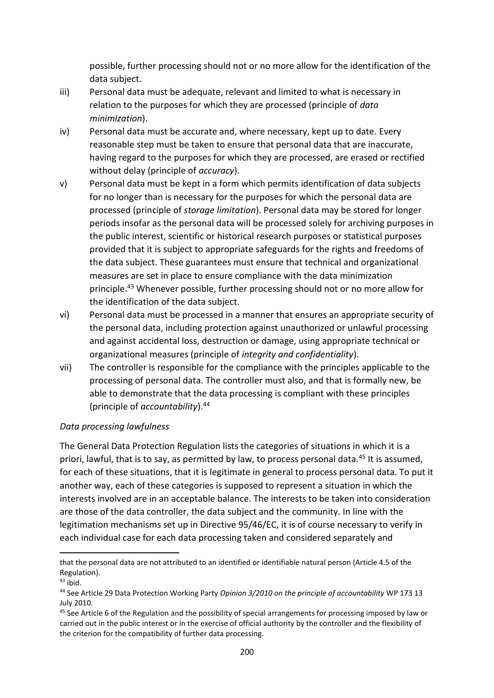possible, further processing should not or no more allow for the identification of the data subject.

- iii) Personal data must be adequate, relevant and limited to what is necessary in relation to the purposes for which they are processed (principle of *data minimization*).
- iv) Personal data must be accurate and, where necessary, kept up to date. Every reasonable step must be taken to ensure that personal data that are inaccurate, having regard to the purposes for which they are processed, are erased or rectified without delay (principle of *accuracy*).
- v) Personal data must be kept in a form which permits identification of data subjects for no longer than is necessary for the purposes for which the personal data are processed (principle of *storage limitation*). Personal data may be stored for longer periods insofar as the personal data will be processed solely for archiving purposes in the public interest, scientific or historical research purposes or statistical purposes provided that it is subject to appropriate safeguards for the rights and freedoms of the data subject. These guarantees must ensure that technical and organizational measures are set in place to ensure compliance with the data minimization principle.<sup>43</sup> Whenever possible, further processing should not or no more allow for the identification of the data subject.
- vi) Personal data must be processed in a manner that ensures an appropriate security of the personal data, including protection against unauthorized or unlawful processing and against accidental loss, destruction or damage, using appropriate technical or organizational measures (principle of *integrity and confidentiality*).
- vii) The controller is responsible for the compliance with the principles applicable to the processing of personal data. The controller must also, and that is formally new, be able to demonstrate that the data processing is compliant with these principles (principle of *accountability*).<sup>44</sup>

#### *Data processing lawfulness*

The General Data Protection Regulation lists the categories of situations in which it is a priori, lawful, that is to say, as permitted by law, to process personal data.<sup>45</sup> It is assumed, for each of these situations, that it is legitimate in general to process personal data. To put it another way, each of these categories is supposed to represent a situation in which the interests involved are in an acceptable balance. The interests to be taken into consideration are those of the data controller, the data subject and the community. In line with the legitimation mechanisms set up in Directive 95/46/EC, it is of course necessary to verify in each individual case for each data processing taken and considered separately and

that the personal data are not attributed to an identified or identifiable natural person (Article 4.5 of the Regulation).

<sup>43</sup> ibid.

<sup>44</sup> See Article 29 Data Protection Working Party *Opinion 3/2010 on the principle of accountability* WP 173 13 July 2010.

<sup>45</sup> See Article 6 of the Regulation and the possibility of special arrangements for processing imposed by law or carried out in the public interest or in the exercise of official authority by the controller and the flexibility of the criterion for the compatibility of further data processing.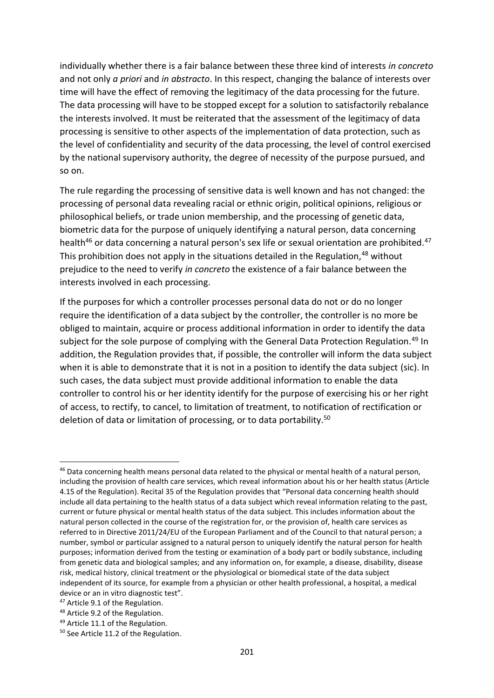individually whether there is a fair balance between these three kind of interests *in concreto* and not only *a priori* and *in abstracto*. In this respect, changing the balance of interests over time will have the effect of removing the legitimacy of the data processing for the future. The data processing will have to be stopped except for a solution to satisfactorily rebalance the interests involved. It must be reiterated that the assessment of the legitimacy of data processing is sensitive to other aspects of the implementation of data protection, such as the level of confidentiality and security of the data processing, the level of control exercised by the national supervisory authority, the degree of necessity of the purpose pursued, and so on.

The rule regarding the processing of sensitive data is well known and has not changed: the processing of personal data revealing racial or ethnic origin, political opinions, religious or philosophical beliefs, or trade union membership, and the processing of genetic data, biometric data for the purpose of uniquely identifying a natural person, data concerning health<sup>46</sup> or data concerning a natural person's sex life or sexual orientation are prohibited.<sup>47</sup> This prohibition does not apply in the situations detailed in the Regulation, $48$  without prejudice to the need to verify *in concreto* the existence of a fair balance between the interests involved in each processing.

If the purposes for which a controller processes personal data do not or do no longer require the identification of a data subject by the controller, the controller is no more be obliged to maintain, acquire or process additional information in order to identify the data subject for the sole purpose of complying with the General Data Protection Regulation.<sup>49</sup> In addition, the Regulation provides that, if possible, the controller will inform the data subject when it is able to demonstrate that it is not in a position to identify the data subject (sic). In such cases, the data subject must provide additional information to enable the data controller to control his or her identity identify for the purpose of exercising his or her right of access, to rectify, to cancel, to limitation of treatment, to notification of rectification or deletion of data or limitation of processing, or to data portability.<sup>50</sup>

<sup>46</sup> Data concerning health means personal data related to the physical or mental health of a natural person, including the provision of health care services, which reveal information about his or her health status (Article 4.15 of the Regulation). Recital 35 of the Regulation provides that "Personal data concerning health should include all data pertaining to the health status of a data subject which reveal information relating to the past, current or future physical or mental health status of the data subject. This includes information about the natural person collected in the course of the registration for, or the provision of, health care services as referred to in Directive 2011/24/EU of the European Parliament and of the Council to that natural person; a number, symbol or particular assigned to a natural person to uniquely identify the natural person for health purposes; information derived from the testing or examination of a body part or bodily substance, including from genetic data and biological samples; and any information on, for example, a disease, disability, disease risk, medical history, clinical treatment or the physiological or biomedical state of the data subject independent of its source, for example from a physician or other health professional, a hospital, a medical device or an in vitro diagnostic test".

<sup>47</sup> Article 9.1 of the Regulation.

<sup>48</sup> Article 9.2 of the Regulation.

<sup>49</sup> Article 11.1 of the Regulation.

<sup>50</sup> See Article 11.2 of the Regulation.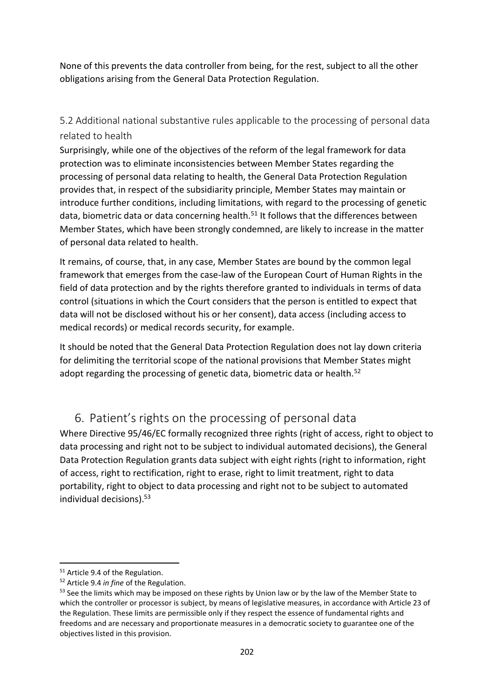None of this prevents the data controller from being, for the rest, subject to all the other obligations arising from the General Data Protection Regulation.

5.2 Additional national substantive rules applicable to the processing of personal data related to health

Surprisingly, while one of the objectives of the reform of the legal framework for data protection was to eliminate inconsistencies between Member States regarding the processing of personal data relating to health, the General Data Protection Regulation provides that, in respect of the subsidiarity principle, Member States may maintain or introduce further conditions, including limitations, with regard to the processing of genetic data, biometric data or data concerning health.<sup>51</sup> It follows that the differences between Member States, which have been strongly condemned, are likely to increase in the matter of personal data related to health.

It remains, of course, that, in any case, Member States are bound by the common legal framework that emerges from the case-law of the European Court of Human Rights in the field of data protection and by the rights therefore granted to individuals in terms of data control (situations in which the Court considers that the person is entitled to expect that data will not be disclosed without his or her consent), data access (including access to medical records) or medical records security, for example.

It should be noted that the General Data Protection Regulation does not lay down criteria for delimiting the territorial scope of the national provisions that Member States might adopt regarding the processing of genetic data, biometric data or health.<sup>52</sup>

# 6. Patient's rights on the processing of personal data

Where Directive 95/46/EC formally recognized three rights (right of access, right to object to data processing and right not to be subject to individual automated decisions), the General Data Protection Regulation grants data subject with eight rights (right to information, right of access, right to rectification, right to erase, right to limit treatment, right to data portability, right to object to data processing and right not to be subject to automated individual decisions). 53

 $\overline{a}$ 

<sup>&</sup>lt;sup>51</sup> Article 9.4 of the Regulation.

<sup>52</sup> Article 9.4 *in fine* of the Regulation.

<sup>&</sup>lt;sup>53</sup> See the limits which may be imposed on these rights by Union law or by the law of the Member State to which the controller or processor is subject, by means of legislative measures, in accordance with Article 23 of the Regulation. These limits are permissible only if they respect the essence of fundamental rights and freedoms and are necessary and proportionate measures in a democratic society to guarantee one of the objectives listed in this provision.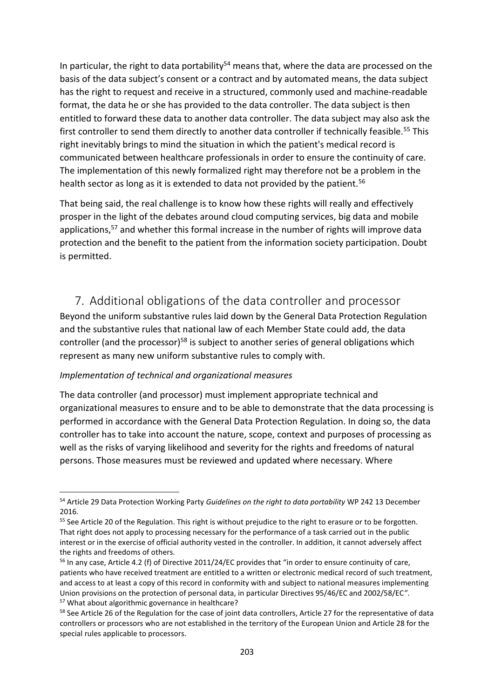In particular, the right to data portability<sup>54</sup> means that, where the data are processed on the basis of the data subject's consent or a contract and by automated means, the data subject has the right to request and receive in a structured, commonly used and machine-readable format, the data he or she has provided to the data controller. The data subject is then entitled to forward these data to another data controller. The data subject may also ask the first controller to send them directly to another data controller if technically feasible.<sup>55</sup> This right inevitably brings to mind the situation in which the patient's medical record is communicated between healthcare professionals in order to ensure the continuity of care. The implementation of this newly formalized right may therefore not be a problem in the health sector as long as it is extended to data not provided by the patient.<sup>56</sup>

That being said, the real challenge is to know how these rights will really and effectively prosper in the light of the debates around cloud computing services, big data and mobile applications,<sup>57</sup> and whether this formal increase in the number of rights will improve data protection and the benefit to the patient from the information society participation. Doubt is permitted.

# 7. Additional obligations of the data controller and processor

Beyond the uniform substantive rules laid down by the General Data Protection Regulation and the substantive rules that national law of each Member State could add, the data controller (and the processor)<sup>58</sup> is subject to another series of general obligations which represent as many new uniform substantive rules to comply with.

#### *Implementation of technical and organizational measures*

The data controller (and processor) must implement appropriate technical and organizational measures to ensure and to be able to demonstrate that the data processing is performed in accordance with the General Data Protection Regulation. In doing so, the data controller has to take into account the nature, scope, context and purposes of processing as well as the risks of varying likelihood and severity for the rights and freedoms of natural persons. Those measures must be reviewed and updated where necessary. Where

 $\overline{a}$ <sup>54</sup> Article 29 Data Protection Working Party *Guidelines on the right to data portability* WP 242 13 December 2016.

<sup>&</sup>lt;sup>55</sup> See Article 20 of the Regulation. This right is without prejudice to the right to erasure or to be forgotten. That right does not apply to processing necessary for the performance of a task carried out in the public interest or in the exercise of official authority vested in the controller. In addition, it cannot adversely affect the rights and freedoms of others.

<sup>&</sup>lt;sup>56</sup> In any case, Article 4.2 (f) of Directive 2011/24/EC provides that "in order to ensure continuity of care, patients who have received treatment are entitled to a written or electronic medical record of such treatment, and access to at least a copy of this record in conformity with and subject to national measures implementing Union provisions on the protection of personal data, in particular Directives 95/46/EC and 2002/58/EC*"*. <sup>57</sup> What about algorithmic governance in healthcare?

<sup>&</sup>lt;sup>58</sup> See Article 26 of the Regulation for the case of joint data controllers, Article 27 for the representative of data controllers or processors who are not established in the territory of the European Union and Article 28 for the special rules applicable to processors.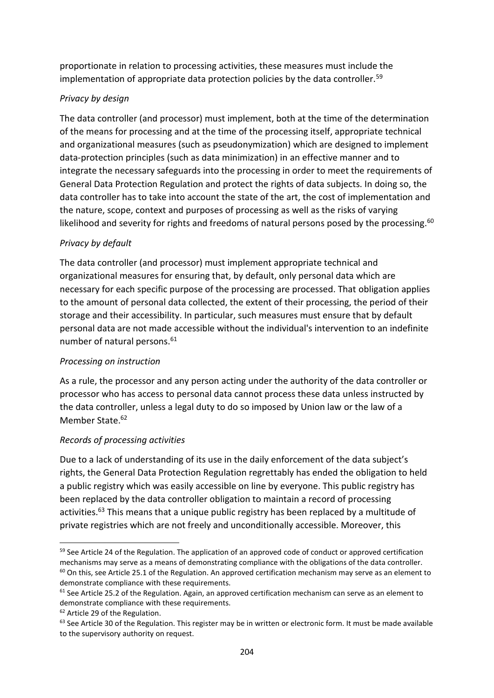proportionate in relation to processing activities, these measures must include the implementation of appropriate data protection policies by the data controller.<sup>59</sup>

#### *Privacy by design*

The data controller (and processor) must implement, both at the time of the determination of the means for processing and at the time of the processing itself, appropriate technical and organizational measures (such as pseudonymization) which are designed to implement data-protection principles (such as data minimization) in an effective manner and to integrate the necessary safeguards into the processing in order to meet the requirements of General Data Protection Regulation and protect the rights of data subjects. In doing so, the data controller has to take into account the state of the art, the cost of implementation and the nature, scope, context and purposes of processing as well as the risks of varying likelihood and severity for rights and freedoms of natural persons posed by the processing.<sup>60</sup>

#### *Privacy by default*

The data controller (and processor) must implement appropriate technical and organizational measures for ensuring that, by default, only personal data which are necessary for each specific purpose of the processing are processed. That obligation applies to the amount of personal data collected, the extent of their processing, the period of their storage and their accessibility. In particular, such measures must ensure that by default personal data are not made accessible without the individual's intervention to an indefinite number of natural persons.<sup>61</sup>

#### *Processing on instruction*

As a rule, the processor and any person acting under the authority of the data controller or processor who has access to personal data cannot process these data unless instructed by the data controller, unless a legal duty to do so imposed by Union law or the law of a Member State. 62

#### *Records of processing activities*

Due to a lack of understanding of its use in the daily enforcement of the data subject's rights, the General Data Protection Regulation regrettably has ended the obligation to held a public registry which was easily accessible on line by everyone. This public registry has been replaced by the data controller obligation to maintain a record of processing activities.<sup>63</sup> This means that a unique public registry has been replaced by a multitude of private registries which are not freely and unconditionally accessible. Moreover, this

1

<sup>&</sup>lt;sup>59</sup> See Article 24 of the Regulation. The application of an approved code of conduct or approved certification mechanisms may serve as a means of demonstrating compliance with the obligations of the data controller.  $60$  On this, see Article 25.1 of the Regulation. An approved certification mechanism may serve as an element to demonstrate compliance with these requirements.

 $61$  See Article 25.2 of the Regulation. Again, an approved certification mechanism can serve as an element to demonstrate compliance with these requirements.

<sup>&</sup>lt;sup>62</sup> Article 29 of the Regulation.

<sup>&</sup>lt;sup>63</sup> See Article 30 of the Regulation. This register may be in written or electronic form. It must be made available to the supervisory authority on request.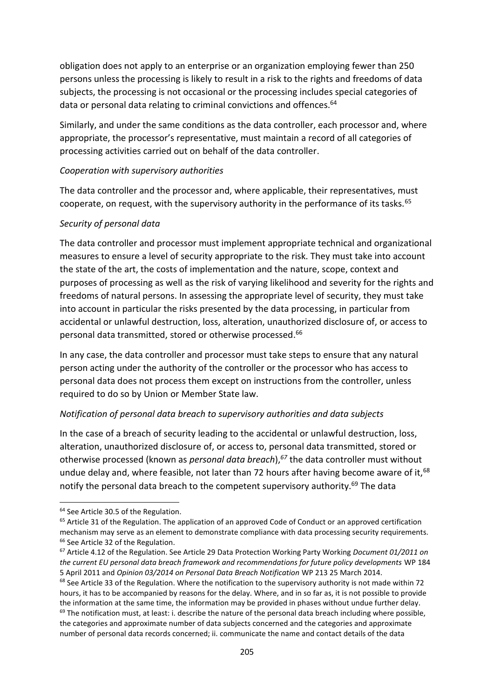obligation does not apply to an enterprise or an organization employing fewer than 250 persons unless the processing is likely to result in a risk to the rights and freedoms of data subjects, the processing is not occasional or the processing includes special categories of data or personal data relating to criminal convictions and offences.<sup>64</sup>

Similarly, and under the same conditions as the data controller, each processor and, where appropriate, the processor's representative, must maintain a record of all categories of processing activities carried out on behalf of the data controller.

#### *Cooperation with supervisory authorities*

The data controller and the processor and, where applicable, their representatives, must cooperate, on request, with the supervisory authority in the performance of its tasks.<sup>65</sup>

#### *Security of personal data*

The data controller and processor must implement appropriate technical and organizational measures to ensure a level of security appropriate to the risk. They must take into account the state of the art, the costs of implementation and the nature, scope, context and purposes of processing as well as the risk of varying likelihood and severity for the rights and freedoms of natural persons. In assessing the appropriate level of security, they must take into account in particular the risks presented by the data processing, in particular from accidental or unlawful destruction, loss, alteration, unauthorized disclosure of, or access to personal data transmitted, stored or otherwise processed. 66

In any case, the data controller and processor must take steps to ensure that any natural person acting under the authority of the controller or the processor who has access to personal data does not process them except on instructions from the controller, unless required to do so by Union or Member State law.

#### *Notification of personal data breach to supervisory authorities and data subjects*

In the case of a breach of security leading to the accidental or unlawful destruction, loss, alteration, unauthorized disclosure of, or access to, personal data transmitted, stored or otherwise processed (known as *personal data breach*),*<sup>67</sup>* the data controller must without undue delay and, where feasible, not later than 72 hours after having become aware of it,  $68$ notify the personal data breach to the competent supervisory authority.<sup>69</sup> The data

<sup>1</sup> <sup>64</sup> See Article 30.5 of the Regulation.

 $65$  Article 31 of the Regulation. The application of an approved Code of Conduct or an approved certification mechanism may serve as an element to demonstrate compliance with data processing security requirements. <sup>66</sup> See Article 32 of the Regulation.

<sup>67</sup> Article 4.12 of the Regulation. See Article 29 Data Protection Working Party Working *Document 01/2011 on the current EU personal data breach framework and recommendations for future policy developments* WP 184 5 April 2011 and *Opinion 03/2014 on Personal Data Breach Notification* WP 213 25 March 2014.

 $68$  See Article 33 of the Regulation. Where the notification to the supervisory authority is not made within 72 hours, it has to be accompanied by reasons for the delay. Where, and in so far as, it is not possible to provide the information at the same time, the information may be provided in phases without undue further delay.  $69$  The notification must, at least: i. describe the nature of the personal data breach including where possible,

the categories and approximate number of data subjects concerned and the categories and approximate number of personal data records concerned; ii. communicate the name and contact details of the data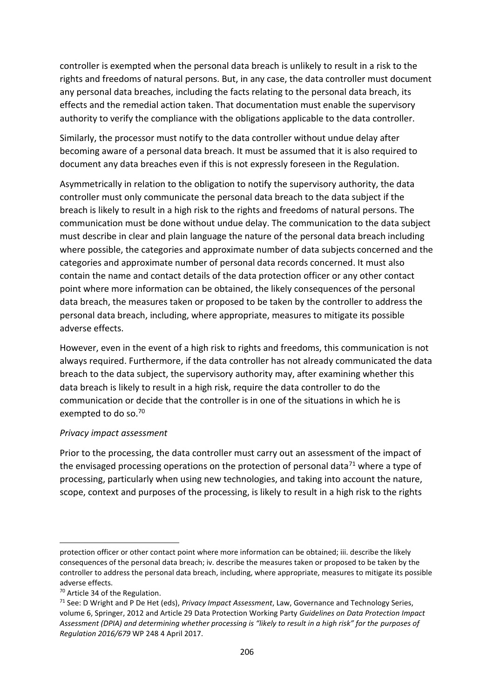controller is exempted when the personal data breach is unlikely to result in a risk to the rights and freedoms of natural persons. But, in any case, the data controller must document any personal data breaches, including the facts relating to the personal data breach, its effects and the remedial action taken. That documentation must enable the supervisory authority to verify the compliance with the obligations applicable to the data controller.

Similarly, the processor must notify to the data controller without undue delay after becoming aware of a personal data breach. It must be assumed that it is also required to document any data breaches even if this is not expressly foreseen in the Regulation.

Asymmetrically in relation to the obligation to notify the supervisory authority, the data controller must only communicate the personal data breach to the data subject if the breach is likely to result in a high risk to the rights and freedoms of natural persons. The communication must be done without undue delay. The communication to the data subject must describe in clear and plain language the nature of the personal data breach including where possible, the categories and approximate number of data subjects concerned and the categories and approximate number of personal data records concerned. It must also contain the name and contact details of the data protection officer or any other contact point where more information can be obtained, the likely consequences of the personal data breach, the measures taken or proposed to be taken by the controller to address the personal data breach, including, where appropriate, measures to mitigate its possible adverse effects.

However, even in the event of a high risk to rights and freedoms, this communication is not always required. Furthermore, if the data controller has not already communicated the data breach to the data subject, the supervisory authority may, after examining whether this data breach is likely to result in a high risk, require the data controller to do the communication or decide that the controller is in one of the situations in which he is exempted to do so.<sup>70</sup>

#### *Privacy impact assessment*

Prior to the processing, the data controller must carry out an assessment of the impact of the envisaged processing operations on the protection of personal data<sup>71</sup> where a type of processing, particularly when using new technologies, and taking into account the nature, scope, context and purposes of the processing, is likely to result in a high risk to the rights

1

protection officer or other contact point where more information can be obtained; iii. describe the likely consequences of the personal data breach; iv. describe the measures taken or proposed to be taken by the controller to address the personal data breach, including, where appropriate, measures to mitigate its possible adverse effects.

<sup>70</sup> Article 34 of the Regulation.

<sup>71</sup> See: D Wright and P De Het (eds), *Privacy Impact Assessment*, Law, Governance and Technology Series, volume 6, Springer, 2012 and Article 29 Data Protection Working Party *Guidelines on Data Protection Impact*  Assessment (DPIA) and determining whether processing is "likely to result in a high risk" for the purposes of *Regulation 2016/679* WP 248 4 April 2017.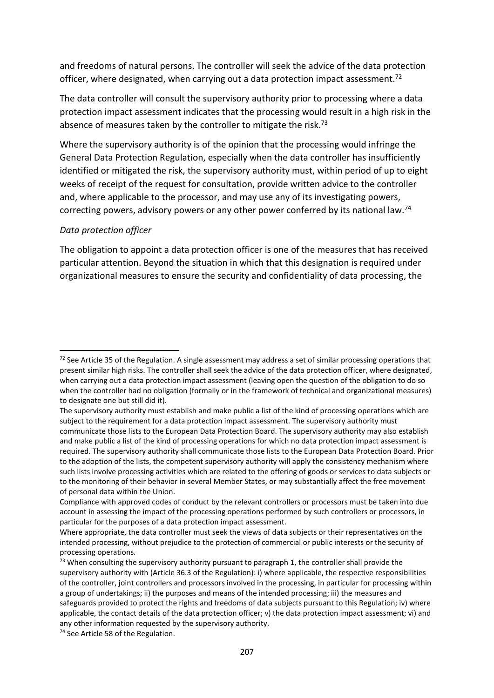and freedoms of natural persons. The controller will seek the advice of the data protection officer, where designated, when carrying out a data protection impact assessment.<sup>72</sup>

The data controller will consult the supervisory authority prior to processing where a data protection impact assessment indicates that the processing would result in a high risk in the absence of measures taken by the controller to mitigate the risk.<sup>73</sup>

Where the supervisory authority is of the opinion that the processing would infringe the General Data Protection Regulation, especially when the data controller has insufficiently identified or mitigated the risk, the supervisory authority must, within period of up to eight weeks of receipt of the request for consultation, provide written advice to the controller and, where applicable to the processor, and may use any of its investigating powers, correcting powers, advisory powers or any other power conferred by its national law.<sup>74</sup>

#### *Data protection officer*

**.** 

The obligation to appoint a data protection officer is one of the measures that has received particular attention. Beyond the situation in which that this designation is required under organizational measures to ensure the security and confidentiality of data processing, the

<sup>74</sup> See Article 58 of the Regulation.

<sup>&</sup>lt;sup>72</sup> See Article 35 of the Regulation. A single assessment may address a set of similar processing operations that present similar high risks. The controller shall seek the advice of the data protection officer, where designated, when carrying out a data protection impact assessment (leaving open the question of the obligation to do so when the controller had no obligation (formally or in the framework of technical and organizational measures) to designate one but still did it).

The supervisory authority must establish and make public a list of the kind of processing operations which are subject to the requirement for a data protection impact assessment. The supervisory authority must communicate those lists to the European Data Protection Board. The supervisory authority may also establish and make public a list of the kind of processing operations for which no data protection impact assessment is required. The supervisory authority shall communicate those lists to the European Data Protection Board. Prior to the adoption of the lists, the competent supervisory authority will apply the consistency mechanism where such lists involve processing activities which are related to the offering of goods or services to data subjects or to the monitoring of their behavior in several Member States, or may substantially affect the free movement of personal data within the Union.

Compliance with approved codes of conduct by the relevant controllers or processors must be taken into due account in assessing the impact of the processing operations performed by such controllers or processors, in particular for the purposes of a data protection impact assessment.

Where appropriate, the data controller must seek the views of data subjects or their representatives on the intended processing, without prejudice to the protection of commercial or public interests or the security of processing operations.

 $73$  When consulting the supervisory authority pursuant to paragraph 1, the controller shall provide the supervisory authority with (Article 36.3 of the Regulation): i) where applicable, the respective responsibilities of the controller, joint controllers and processors involved in the processing, in particular for processing within a group of undertakings; ii) the purposes and means of the intended processing; iii) the measures and safeguards provided to protect the rights and freedoms of data subjects pursuant to this Regulation; iv) where applicable, the contact details of the data protection officer; v) the data protection impact assessment; vi) and any other information requested by the supervisory authority.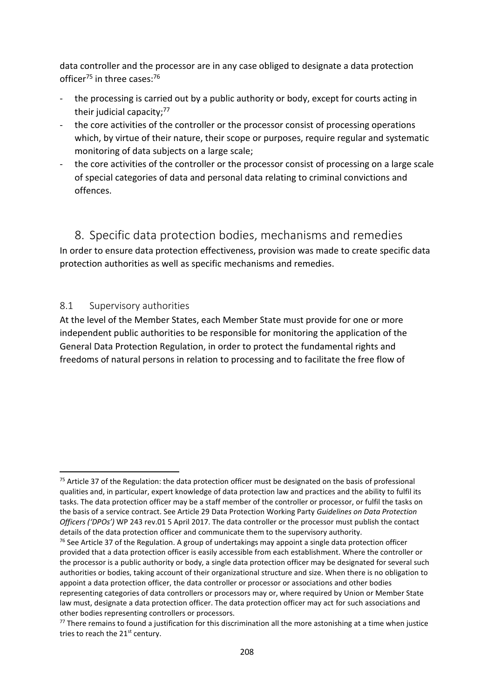data controller and the processor are in any case obliged to designate a data protection officer<sup>75</sup> in three cases:<sup>76</sup>

- the processing is carried out by a public authority or body, except for courts acting in their judicial capacity;<sup>77</sup>
- the core activities of the controller or the processor consist of processing operations which, by virtue of their nature, their scope or purposes, require regular and systematic monitoring of data subjects on a large scale;
- the core activities of the controller or the processor consist of processing on a large scale of special categories of data and personal data relating to criminal convictions and offences.

# 8. Specific data protection bodies, mechanisms and remedies

In order to ensure data protection effectiveness, provision was made to create specific data protection authorities as well as specific mechanisms and remedies.

#### 8.1 Supervisory authorities

At the level of the Member States, each Member State must provide for one or more independent public authorities to be responsible for monitoring the application of the General Data Protection Regulation, in order to protect the fundamental rights and freedoms of natural persons in relation to processing and to facilitate the free flow of

<sup>1</sup> <sup>75</sup> Article 37 of the Regulation: the data protection officer must be designated on the basis of professional qualities and, in particular, expert knowledge of data protection law and practices and the ability to fulfil its tasks. The data protection officer may be a staff member of the controller or processor, or fulfil the tasks on the basis of a service contract. See Article 29 Data Protection Working Party *Guidelines on Data Protection Officers ('DPOs')* WP 243 rev.01 5 April 2017. The data controller or the processor must publish the contact details of the data protection officer and communicate them to the supervisory authority.

 $76$  See Article 37 of the Regulation. A group of undertakings may appoint a single data protection officer provided that a data protection officer is easily accessible from each establishment. Where the controller or the processor is a public authority or body, a single data protection officer may be designated for several such authorities or bodies, taking account of their organizational structure and size. When there is no obligation to appoint a data protection officer, the data controller or processor or associations and other bodies representing categories of data controllers or processors may or, where required by Union or Member State law must, designate a data protection officer. The data protection officer may act for such associations and other bodies representing controllers or processors.

 $77$  There remains to found a justification for this discrimination all the more astonishing at a time when justice tries to reach the 21<sup>st</sup> century.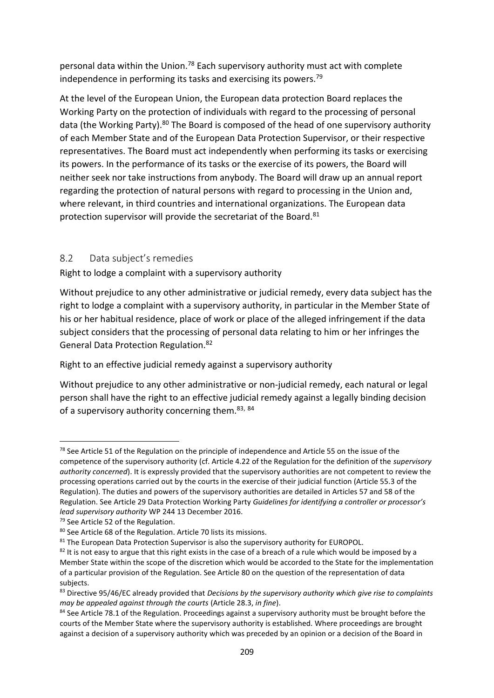personal data within the Union.<sup>78</sup> Each supervisory authority must act with complete independence in performing its tasks and exercising its powers.<sup>79</sup>

At the level of the European Union, the European data protection Board replaces the Working Party on the protection of individuals with regard to the processing of personal data (the Working Party).<sup>80</sup> The Board is composed of the head of one supervisory authority of each Member State and of the European Data Protection Supervisor, or their respective representatives. The Board must act independently when performing its tasks or exercising its powers. In the performance of its tasks or the exercise of its powers, the Board will neither seek nor take instructions from anybody. The Board will draw up an annual report regarding the protection of natural persons with regard to processing in the Union and, where relevant, in third countries and international organizations. The European data protection supervisor will provide the secretariat of the Board.<sup>81</sup>

#### 8.2 Data subject's remedies

Right to lodge a complaint with a supervisory authority

Without prejudice to any other administrative or judicial remedy, every data subject has the right to lodge a complaint with a supervisory authority, in particular in the Member State of his or her habitual residence, place of work or place of the alleged infringement if the data subject considers that the processing of personal data relating to him or her infringes the General Data Protection Regulation.<sup>82</sup>

Right to an effective judicial remedy against a supervisory authority

Without prejudice to any other administrative or non-judicial remedy, each natural or legal person shall have the right to an effective judicial remedy against a legally binding decision of a supervisory authority concerning them.<sup>83, 84</sup>

 $78$  See Article 51 of the Regulation on the principle of independence and Article 55 on the issue of the competence of the supervisory authority (cf. Article 4.22 of the Regulation for the definition of the *supervisory authority concerned*). It is expressly provided that the supervisory authorities are not competent to review the processing operations carried out by the courts in the exercise of their judicial function (Article 55.3 of the Regulation). The duties and powers of the supervisory authorities are detailed in Articles 57 and 58 of the Regulation. See Article 29 Data Protection Working Party *Guidelines for identifying a controller or processor's lead supervisory authority* WP 244 13 December 2016.

<sup>&</sup>lt;sup>79</sup> See Article 52 of the Regulation.

<sup>80</sup> See Article 68 of the Regulation. Article 70 lists its missions.

<sup>81</sup> The European Data Protection Supervisor is also the supervisory authority for EUROPOL.

 $82$  It is not easy to argue that this right exists in the case of a breach of a rule which would be imposed by a Member State within the scope of the discretion which would be accorded to the State for the implementation of a particular provision of the Regulation. See Article 80 on the question of the representation of data subjects.

<sup>83</sup> Directive 95/46/EC already provided that *Decisions by the supervisory authority which give rise to complaints may be appealed against through the courts* (Article 28.3, *in fine*).

<sup>&</sup>lt;sup>84</sup> See Article 78.1 of the Regulation. Proceedings against a supervisory authority must be brought before the courts of the Member State where the supervisory authority is established. Where proceedings are brought against a decision of a supervisory authority which was preceded by an opinion or a decision of the Board in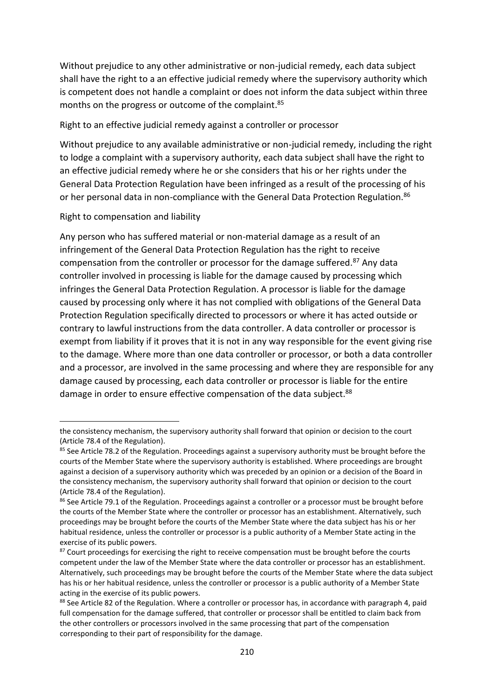Without prejudice to any other administrative or non-judicial remedy, each data subject shall have the right to a an effective judicial remedy where the supervisory authority which is competent does not handle a complaint or does not inform the data subject within three months on the progress or outcome of the complaint. 85

#### Right to an effective judicial remedy against a controller or processor

Without prejudice to any available administrative or non-judicial remedy, including the right to lodge a complaint with a supervisory authority, each data subject shall have the right to an effective judicial remedy where he or she considers that his or her rights under the General Data Protection Regulation have been infringed as a result of the processing of his or her personal data in non-compliance with the General Data Protection Regulation.<sup>86</sup>

#### Right to compensation and liability

 $\overline{a}$ 

Any person who has suffered material or non-material damage as a result of an infringement of the General Data Protection Regulation has the right to receive compensation from the controller or processor for the damage suffered.<sup>87</sup> Any data controller involved in processing is liable for the damage caused by processing which infringes the General Data Protection Regulation. A processor is liable for the damage caused by processing only where it has not complied with obligations of the General Data Protection Regulation specifically directed to processors or where it has acted outside or contrary to lawful instructions from the data controller. A data controller or processor is exempt from liability if it proves that it is not in any way responsible for the event giving rise to the damage. Where more than one data controller or processor, or both a data controller and a processor, are involved in the same processing and where they are responsible for any damage caused by processing, each data controller or processor is liable for the entire damage in order to ensure effective compensation of the data subject.<sup>88</sup>

the consistency mechanism, the supervisory authority shall forward that opinion or decision to the court (Article 78.4 of the Regulation).

<sup>&</sup>lt;sup>85</sup> See Article 78.2 of the Regulation. Proceedings against a supervisory authority must be brought before the courts of the Member State where the supervisory authority is established. Where proceedings are brought against a decision of a supervisory authority which was preceded by an opinion or a decision of the Board in the consistency mechanism, the supervisory authority shall forward that opinion or decision to the court (Article 78.4 of the Regulation).

<sup>&</sup>lt;sup>86</sup> See Article 79.1 of the Regulation. Proceedings against a controller or a processor must be brought before the courts of the Member State where the controller or processor has an establishment. Alternatively, such proceedings may be brought before the courts of the Member State where the data subject has his or her habitual residence, unless the controller or processor is a public authority of a Member State acting in the exercise of its public powers.

<sup>&</sup>lt;sup>87</sup> Court proceedings for exercising the right to receive compensation must be brought before the courts competent under the law of the Member State where the data controller or processor has an establishment. Alternatively, such proceedings may be brought before the courts of the Member State where the data subject has his or her habitual residence, unless the controller or processor is a public authority of a Member State acting in the exercise of its public powers.

<sup>88</sup> See Article 82 of the Regulation. Where a controller or processor has, in accordance with paragraph 4, paid full compensation for the damage suffered, that controller or processor shall be entitled to claim back from the other controllers or processors involved in the same processing that part of the compensation corresponding to their part of responsibility for the damage.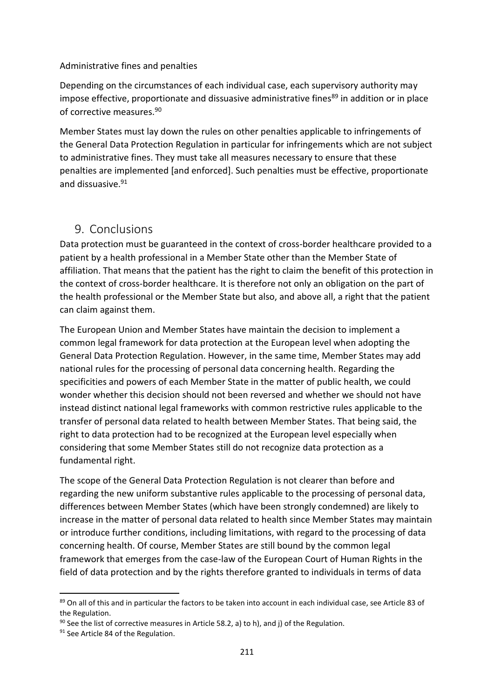#### Administrative fines and penalties

Depending on the circumstances of each individual case, each supervisory authority may impose effective, proportionate and dissuasive administrative fines<sup>89</sup> in addition or in place of corrective measures.<sup>90</sup>

Member States must lay down the rules on other penalties applicable to infringements of the General Data Protection Regulation in particular for infringements which are not subject to administrative fines. They must take all measures necessary to ensure that these penalties are implemented [and enforced]. Such penalties must be effective, proportionate and dissuasive.<sup>91</sup>

# 9. Conclusions

Data protection must be guaranteed in the context of cross-border healthcare provided to a patient by a health professional in a Member State other than the Member State of affiliation. That means that the patient has the right to claim the benefit of this protection in the context of cross-border healthcare. It is therefore not only an obligation on the part of the health professional or the Member State but also, and above all, a right that the patient can claim against them.

The European Union and Member States have maintain the decision to implement a common legal framework for data protection at the European level when adopting the General Data Protection Regulation. However, in the same time, Member States may add national rules for the processing of personal data concerning health. Regarding the specificities and powers of each Member State in the matter of public health, we could wonder whether this decision should not been reversed and whether we should not have instead distinct national legal frameworks with common restrictive rules applicable to the transfer of personal data related to health between Member States. That being said, the right to data protection had to be recognized at the European level especially when considering that some Member States still do not recognize data protection as a fundamental right.

The scope of the General Data Protection Regulation is not clearer than before and regarding the new uniform substantive rules applicable to the processing of personal data, differences between Member States (which have been strongly condemned) are likely to increase in the matter of personal data related to health since Member States may maintain or introduce further conditions, including limitations, with regard to the processing of data concerning health. Of course, Member States are still bound by the common legal framework that emerges from the case-law of the European Court of Human Rights in the field of data protection and by the rights therefore granted to individuals in terms of data

1

<sup>89</sup> On all of this and in particular the factors to be taken into account in each individual case, see Article 83 of the Regulation.

 $90$  See the list of corrective measures in Article 58.2, a) to h), and i) of the Regulation.

<sup>&</sup>lt;sup>91</sup> See Article 84 of the Regulation.